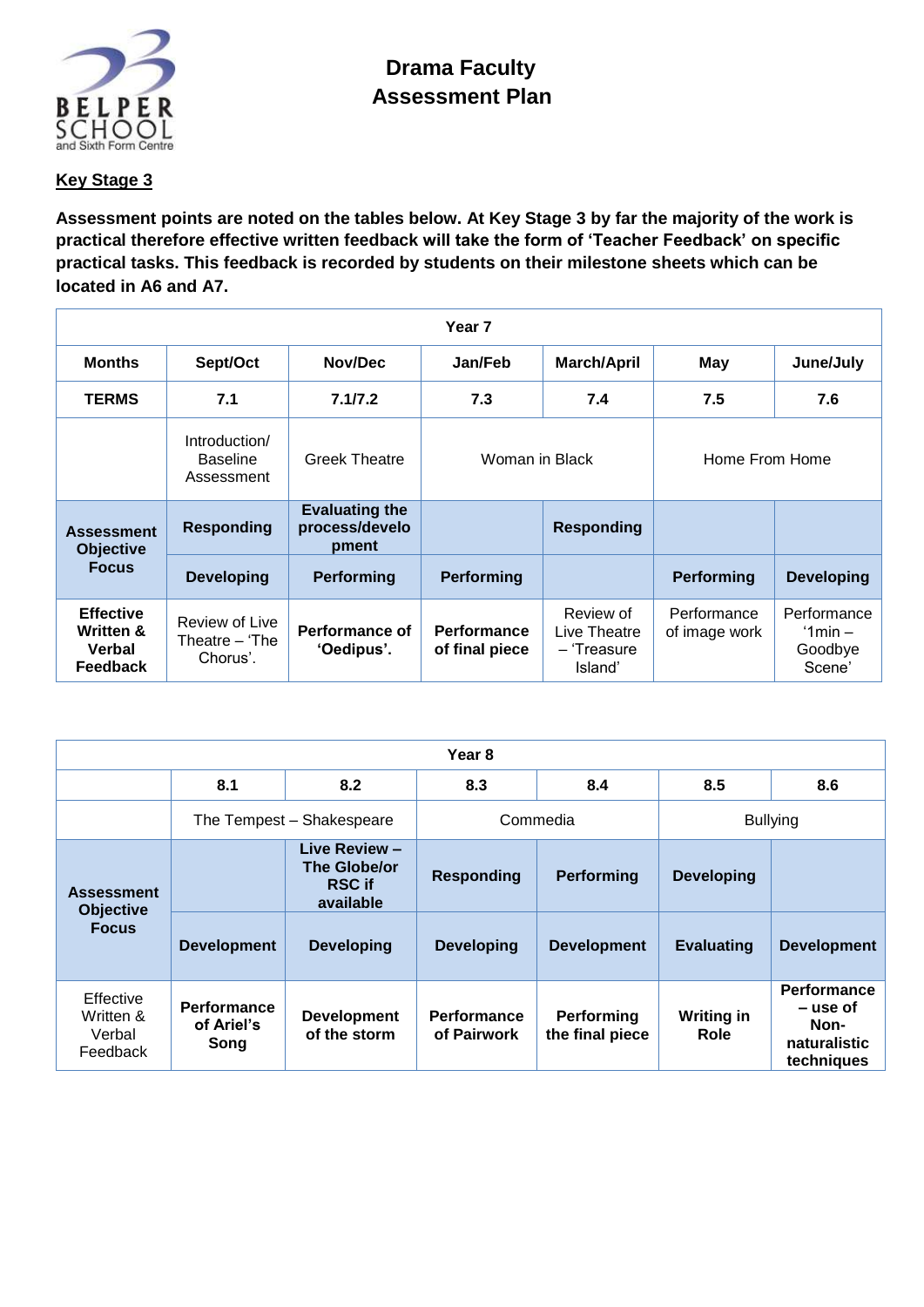

## **Key Stage 3**

**Assessment points are noted on the tables below. At Key Stage 3 by far the majority of the work is practical therefore effective written feedback will take the form of 'Teacher Feedback' on specific practical tasks. This feedback is recorded by students on their milestone sheets which can be located in A6 and A7.**

| Year <sub>7</sub>                                                     |                                                |                                                  |                                      |                                                     |                              |                                               |
|-----------------------------------------------------------------------|------------------------------------------------|--------------------------------------------------|--------------------------------------|-----------------------------------------------------|------------------------------|-----------------------------------------------|
| <b>Months</b>                                                         | Sept/Oct                                       | Nov/Dec                                          | Jan/Feb                              | <b>March/April</b>                                  | May                          | June/July                                     |
| <b>TERMS</b>                                                          | 7.1                                            | 7.1/7.2                                          | 7.3                                  | 7.4                                                 | 7.5                          | 7.6                                           |
|                                                                       | Introduction/<br><b>Baseline</b><br>Assessment | <b>Greek Theatre</b>                             | Woman in Black                       |                                                     | Home From Home               |                                               |
| <b>Assessment</b><br><b>Objective</b><br><b>Focus</b>                 | <b>Responding</b>                              | <b>Evaluating the</b><br>process/develo<br>pment |                                      | <b>Responding</b>                                   |                              |                                               |
|                                                                       | <b>Developing</b>                              | Performing                                       | Performing                           |                                                     | <b>Performing</b>            | <b>Developing</b>                             |
| <b>Effective</b><br><b>Written &amp;</b><br>Verbal<br><b>Feedback</b> | Review of Live<br>Theatre $-$ The<br>Chorus'.  | Performance of<br>'Oedipus'.                     | <b>Performance</b><br>of final piece | Review of<br>Live Theatre<br>- 'Treasure<br>Island' | Performance<br>of image work | Performance<br>$'1min -$<br>Goodbye<br>Scene' |

| Year 8                                                |                                          |                                                             |                                   |                               |                           |                                                                      |
|-------------------------------------------------------|------------------------------------------|-------------------------------------------------------------|-----------------------------------|-------------------------------|---------------------------|----------------------------------------------------------------------|
|                                                       | 8.1                                      | 8.2                                                         | 8.3                               | 8.4                           | 8.5                       | 8.6                                                                  |
|                                                       |                                          | The Tempest - Shakespeare                                   | Commedia                          |                               | <b>Bullying</b>           |                                                                      |
| <b>Assessment</b><br><b>Objective</b><br><b>Focus</b> |                                          | Live Review -<br>The Globe/or<br><b>RSC if</b><br>available | <b>Responding</b>                 | Performing                    | <b>Developing</b>         |                                                                      |
|                                                       | <b>Development</b>                       | <b>Developing</b>                                           | <b>Developing</b>                 | <b>Development</b>            | <b>Evaluating</b>         | <b>Development</b>                                                   |
| Effective<br>Written &<br>Verbal<br>Feedback          | <b>Performance</b><br>of Ariel's<br>Song | <b>Development</b><br>of the storm                          | <b>Performance</b><br>of Pairwork | Performing<br>the final piece | <b>Writing in</b><br>Role | <b>Performance</b><br>– use of<br>Non-<br>naturalistic<br>techniques |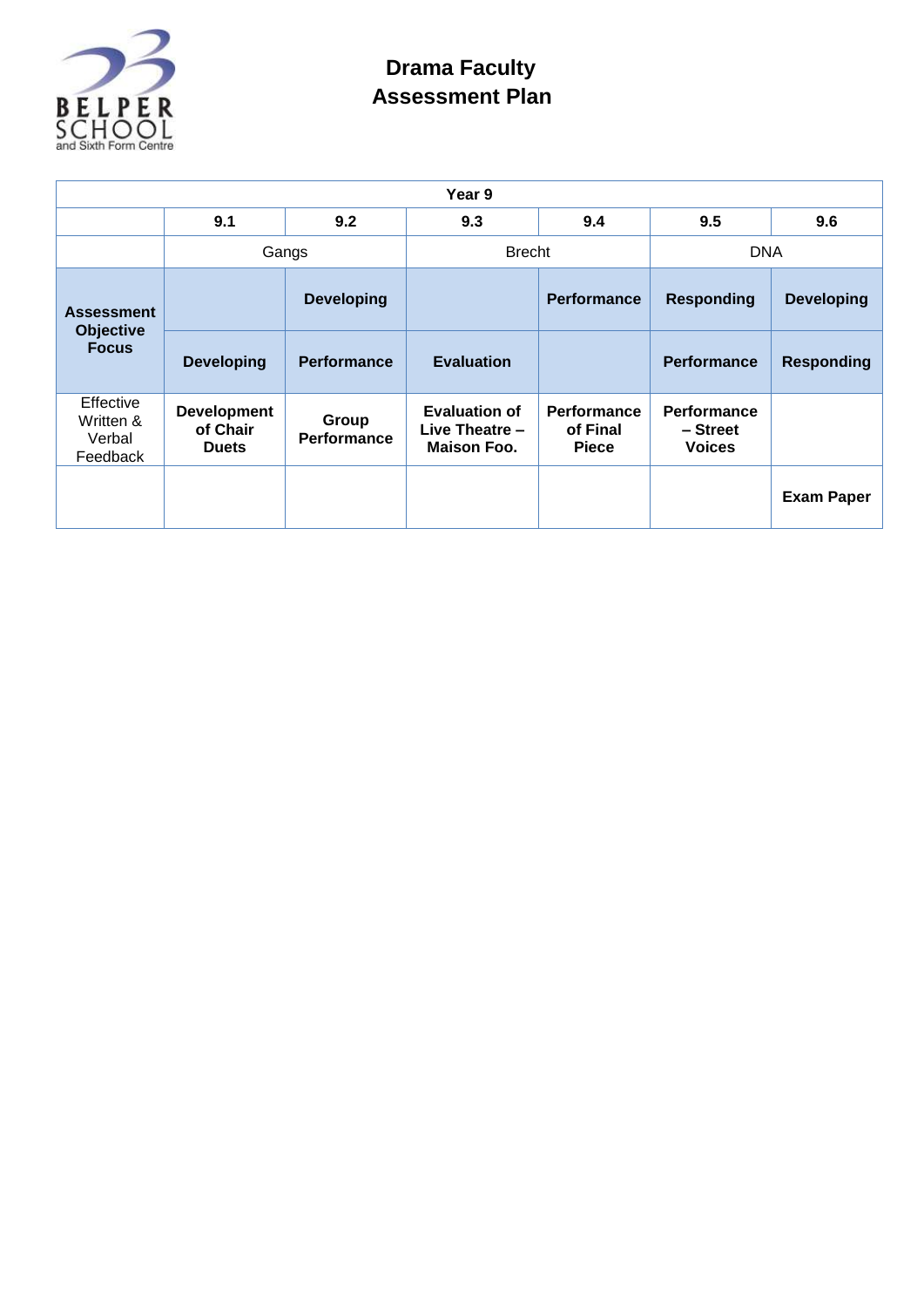

## **Drama Faculty Assessment Plan**

| Year 9                                                |                                                |                             |                                                                |                                                |                                                 |                   |
|-------------------------------------------------------|------------------------------------------------|-----------------------------|----------------------------------------------------------------|------------------------------------------------|-------------------------------------------------|-------------------|
|                                                       | 9.1                                            | 9.2                         | 9.3                                                            | 9.4                                            | 9.5                                             | 9.6               |
|                                                       | Gangs                                          |                             | <b>Brecht</b>                                                  |                                                | <b>DNA</b>                                      |                   |
| <b>Assessment</b><br><b>Objective</b><br><b>Focus</b> |                                                | <b>Developing</b>           |                                                                | <b>Performance</b>                             | <b>Responding</b>                               | <b>Developing</b> |
|                                                       | <b>Developing</b>                              | <b>Performance</b>          | <b>Evaluation</b>                                              |                                                | <b>Performance</b>                              | <b>Responding</b> |
| Effective<br>Written &<br>Verbal<br>Feedback          | <b>Development</b><br>of Chair<br><b>Duets</b> | Group<br><b>Performance</b> | <b>Evaluation of</b><br>Live Theatre $-$<br><b>Maison Foo.</b> | <b>Performance</b><br>of Final<br><b>Piece</b> | <b>Performance</b><br>- Street<br><b>Voices</b> |                   |
|                                                       |                                                |                             |                                                                |                                                |                                                 | <b>Exam Paper</b> |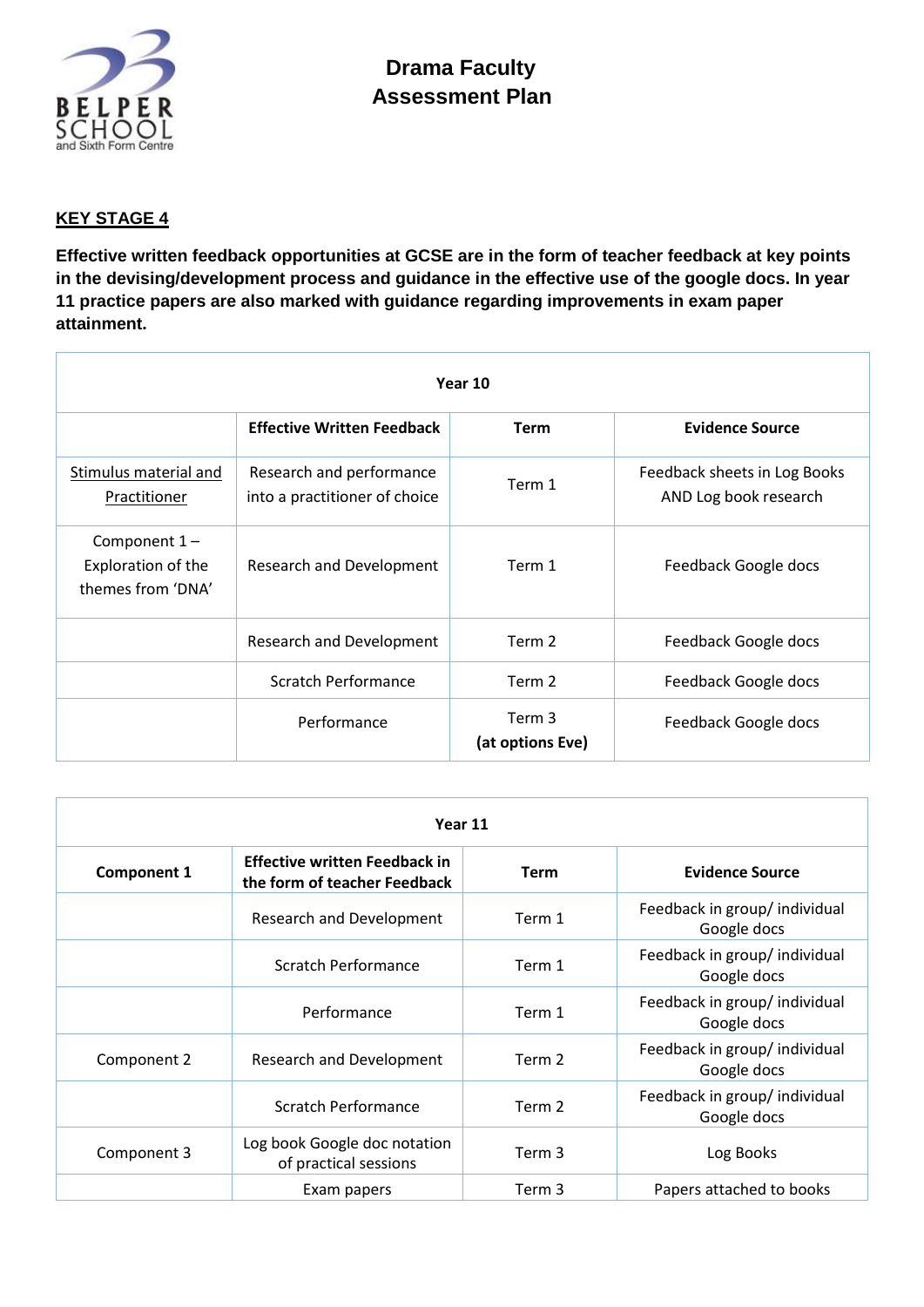

## **KEY STAGE 4**

**Effective written feedback opportunities at GCSE are in the form of teacher feedback at key points in the devising/development process and guidance in the effective use of the google docs. In year 11 practice papers are also marked with guidance regarding improvements in exam paper attainment.**

| Year 10                                                   |                                                           |                            |                                                       |  |  |  |
|-----------------------------------------------------------|-----------------------------------------------------------|----------------------------|-------------------------------------------------------|--|--|--|
|                                                           | <b>Effective Written Feedback</b>                         | <b>Term</b>                | <b>Evidence Source</b>                                |  |  |  |
| Stimulus material and<br>Practitioner                     | Research and performance<br>into a practitioner of choice | Term 1                     | Feedback sheets in Log Books<br>AND Log book research |  |  |  |
| Component $1-$<br>Exploration of the<br>themes from 'DNA' | Research and Development                                  | Term 1                     | Feedback Google docs                                  |  |  |  |
|                                                           | Research and Development                                  | Term 2                     | Feedback Google docs                                  |  |  |  |
|                                                           | <b>Scratch Performance</b>                                | Term 2                     | Feedback Google docs                                  |  |  |  |
|                                                           | Performance                                               | Term 3<br>(at options Eve) | Feedback Google docs                                  |  |  |  |

| Year 11            |                                                                      |             |                                              |  |  |
|--------------------|----------------------------------------------------------------------|-------------|----------------------------------------------|--|--|
| <b>Component 1</b> | <b>Effective written Feedback in</b><br>the form of teacher Feedback | <b>Term</b> | <b>Evidence Source</b>                       |  |  |
|                    | <b>Research and Development</b>                                      | Term 1      | Feedback in group/ individual<br>Google docs |  |  |
|                    | <b>Scratch Performance</b>                                           | Term 1      | Feedback in group/ individual<br>Google docs |  |  |
|                    | Performance                                                          | Term 1      | Feedback in group/ individual<br>Google docs |  |  |
| Component 2        | <b>Research and Development</b>                                      | Term 2      | Feedback in group/ individual<br>Google docs |  |  |
|                    | Scratch Performance                                                  | Term 2      | Feedback in group/ individual<br>Google docs |  |  |
| Component 3        | Log book Google doc notation<br>of practical sessions                | Term 3      | Log Books                                    |  |  |
|                    | Exam papers                                                          | Term 3      | Papers attached to books                     |  |  |